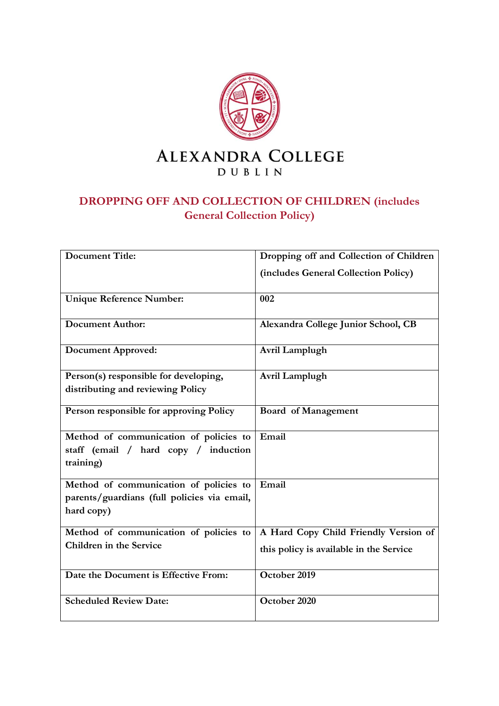

# **DROPPING OFF AND COLLECTION OF CHILDREN (includes General Collection Policy)**

| <b>Document Title:</b>                                    | Dropping off and Collection of Children |
|-----------------------------------------------------------|-----------------------------------------|
|                                                           | (includes General Collection Policy)    |
| <b>Unique Reference Number:</b>                           | 002                                     |
| <b>Document Author:</b>                                   | Alexandra College Junior School, CB     |
| <b>Document Approved:</b>                                 | Avril Lamplugh                          |
| Person(s) responsible for developing,                     | Avril Lamplugh                          |
| distributing and reviewing Policy                         |                                         |
| Person responsible for approving Policy                   | <b>Board of Management</b>              |
| Method of communication of policies to                    | Email                                   |
| staff (email / hard copy / induction<br>training)         |                                         |
| Method of communication of policies to                    | Email                                   |
| parents/guardians (full policies via email,<br>hard copy) |                                         |
| Method of communication of policies to                    | A Hard Copy Child Friendly Version of   |
| Children in the Service                                   | this policy is available in the Service |
| Date the Document is Effective From:                      | October 2019                            |
| <b>Scheduled Review Date:</b>                             | October 2020                            |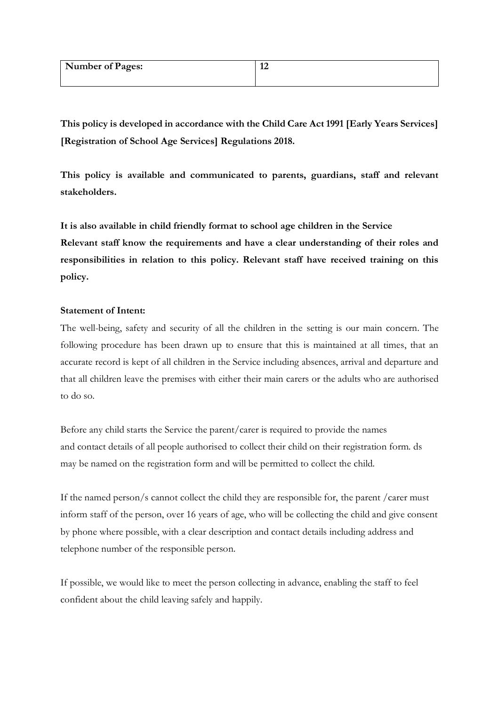| <b>Number of Pages:</b> | $\sqrt{2}$<br>ı∠ |
|-------------------------|------------------|
|                         |                  |

**This policy is developed in accordance with the Child Care Act 1991 [Early Years Services] [Registration of School Age Services] Regulations 2018.**

**This policy is available and communicated to parents, guardians, staff and relevant stakeholders.**

**It is also available in child friendly format to school age children in the Service Relevant staff know the requirements and have a clear understanding of their roles and responsibilities in relation to this policy. Relevant staff have received training on this policy.** 

# **Statement of Intent:**

The well-being, safety and security of all the children in the setting is our main concern. The following procedure has been drawn up to ensure that this is maintained at all times, that an accurate record is kept of all children in the Service including absences, arrival and departure and that all children leave the premises with either their main carers or the adults who are authorised to do so.

Before any child starts the Service the parent/carer is required to provide the names and contact details of all people authorised to collect their child on their registration form. ds may be named on the registration form and will be permitted to collect the child.

If the named person/s cannot collect the child they are responsible for, the parent /carer must inform staff of the person, over 16 years of age, who will be collecting the child and give consent by phone where possible, with a clear description and contact details including address and telephone number of the responsible person.

If possible, we would like to meet the person collecting in advance, enabling the staff to feel confident about the child leaving safely and happily.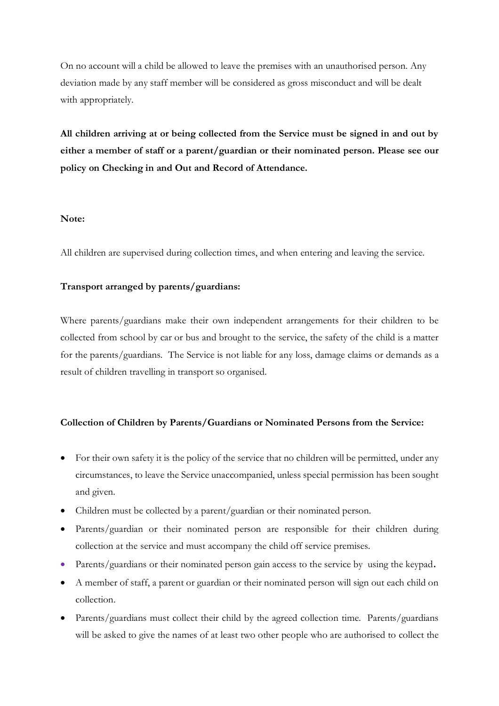On no account will a child be allowed to leave the premises with an unauthorised person. Any deviation made by any staff member will be considered as gross misconduct and will be dealt with appropriately.

**All children arriving at or being collected from the Service must be signed in and out by either a member of staff or a parent/guardian or their nominated person. Please see our policy on Checking in and Out and Record of Attendance.**

# **Note:**

All children are supervised during collection times, and when entering and leaving the service.

# **Transport arranged by parents/guardians:**

Where parents/guardians make their own independent arrangements for their children to be collected from school by car or bus and brought to the service, the safety of the child is a matter for the parents/guardians. The Service is not liable for any loss, damage claims or demands as a result of children travelling in transport so organised.

# **Collection of Children by Parents/Guardians or Nominated Persons from the Service:**

- For their own safety it is the policy of the service that no children will be permitted, under any circumstances, to leave the Service unaccompanied, unless special permission has been sought and given.
- Children must be collected by a parent/guardian or their nominated person.
- Parents/guardian or their nominated person are responsible for their children during collection at the service and must accompany the child off service premises.
- Parents/guardians or their nominated person gain access to the service by using the keypad**.**
- A member of staff, a parent or guardian or their nominated person will sign out each child on collection.
- Parents/guardians must collect their child by the agreed collection time. Parents/guardians will be asked to give the names of at least two other people who are authorised to collect the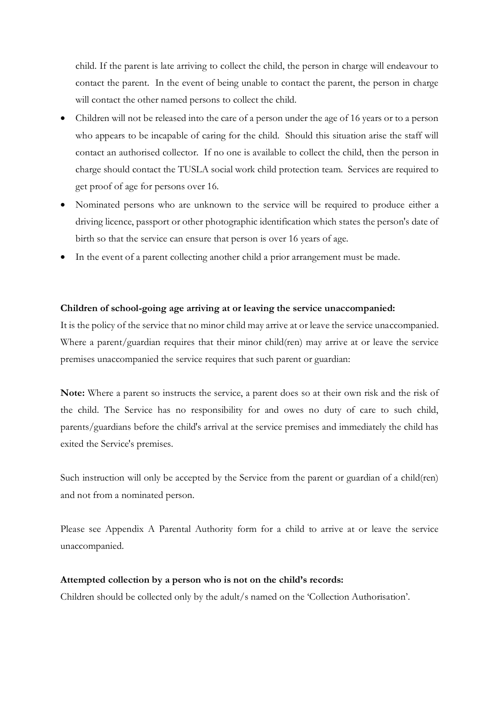child. If the parent is late arriving to collect the child, the person in charge will endeavour to contact the parent. In the event of being unable to contact the parent, the person in charge will contact the other named persons to collect the child.

- Children will not be released into the care of a person under the age of 16 years or to a person who appears to be incapable of caring for the child. Should this situation arise the staff will contact an authorised collector. If no one is available to collect the child, then the person in charge should contact the TUSLA social work child protection team. Services are required to get proof of age for persons over 16.
- Nominated persons who are unknown to the service will be required to produce either a driving licence, passport or other photographic identification which states the person's date of birth so that the service can ensure that person is over 16 years of age.
- In the event of a parent collecting another child a prior arrangement must be made.

## **Children of school-going age arriving at or leaving the service unaccompanied:**

It is the policy of the service that no minor child may arrive at or leave the service unaccompanied. Where a parent/guardian requires that their minor child(ren) may arrive at or leave the service premises unaccompanied the service requires that such parent or guardian:

**Note:** Where a parent so instructs the service, a parent does so at their own risk and the risk of the child. The Service has no responsibility for and owes no duty of care to such child, parents/guardians before the child's arrival at the service premises and immediately the child has exited the Service's premises.

Such instruction will only be accepted by the Service from the parent or guardian of a child(ren) and not from a nominated person.

Please see Appendix A Parental Authority form for a child to arrive at or leave the service unaccompanied.

#### **Attempted collection by a person who is not on the child's records:**

Children should be collected only by the adult/s named on the 'Collection Authorisation'.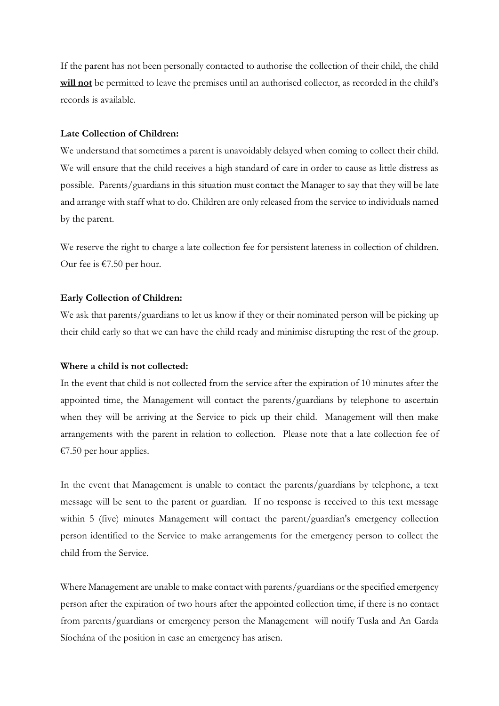If the parent has not been personally contacted to authorise the collection of their child, the child **will not** be permitted to leave the premises until an authorised collector, as recorded in the child's records is available.

#### **Late Collection of Children:**

We understand that sometimes a parent is unavoidably delayed when coming to collect their child. We will ensure that the child receives a high standard of care in order to cause as little distress as possible. Parents/guardians in this situation must contact the Manager to say that they will be late and arrange with staff what to do. Children are only released from the service to individuals named by the parent.

We reserve the right to charge a late collection fee for persistent lateness in collection of children. Our fee is  $€7.50$  per hour.

#### **Early Collection of Children:**

We ask that parents/guardians to let us know if they or their nominated person will be picking up their child early so that we can have the child ready and minimise disrupting the rest of the group.

#### **Where a child is not collected:**

In the event that child is not collected from the service after the expiration of 10 minutes after the appointed time, the Management will contact the parents/guardians by telephone to ascertain when they will be arriving at the Service to pick up their child. Management will then make arrangements with the parent in relation to collection. Please note that a late collection fee of €7.50 per hour applies.

In the event that Management is unable to contact the parents/guardians by telephone, a text message will be sent to the parent or guardian. If no response is received to this text message within 5 (five) minutes Management will contact the parent/guardian's emergency collection person identified to the Service to make arrangements for the emergency person to collect the child from the Service.

Where Management are unable to make contact with parents/guardians or the specified emergency person after the expiration of two hours after the appointed collection time, if there is no contact from parents/guardians or emergency person the Management will notify Tusla and An Garda Síochána of the position in case an emergency has arisen.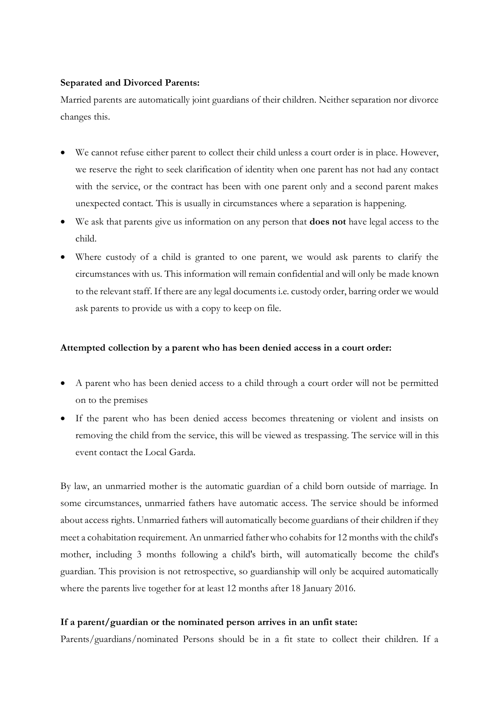# **Separated and Divorced Parents:**

Married parents are automatically joint guardians of their children. Neither separation nor divorce changes this.

- We cannot refuse either parent to collect their child unless a court order is in place. However, we reserve the right to seek clarification of identity when one parent has not had any contact with the service, or the contract has been with one parent only and a second parent makes unexpected contact. This is usually in circumstances where a separation is happening.
- We ask that parents give us information on any person that **does not** have legal access to the child.
- Where custody of a child is granted to one parent, we would ask parents to clarify the circumstances with us. This information will remain confidential and will only be made known to the relevant staff. If there are any legal documents i.e. custody order, barring order we would ask parents to provide us with a copy to keep on file.

## **Attempted collection by a parent who has been denied access in a court order:**

- A parent who has been denied access to a child through a court order will not be permitted on to the premises
- If the parent who has been denied access becomes threatening or violent and insists on removing the child from the service, this will be viewed as trespassing. The service will in this event contact the Local Garda.

By law, an unmarried mother is the automatic guardian of a child born outside of marriage. In some circumstances, unmarried fathers have automatic access. The service should be informed about access rights. Unmarried fathers will automatically become guardians of their children if they meet a cohabitation requirement. An unmarried father who cohabits for 12 months with the child's mother, including 3 months following a child's birth, will automatically become the child's guardian. This provision is not retrospective, so guardianship will only be acquired automatically where the parents live together for at least 12 months after 18 January 2016.

#### **If a parent/guardian or the nominated person arrives in an unfit state:**

Parents/guardians/nominated Persons should be in a fit state to collect their children. If a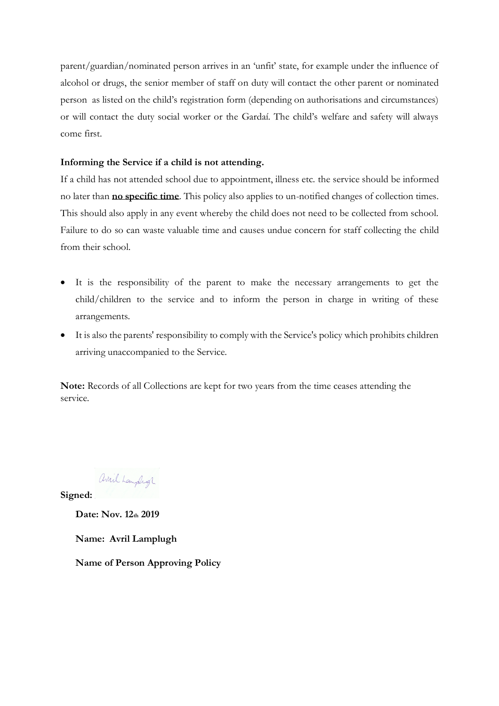parent/guardian/nominated person arrives in an 'unfit' state, for example under the influence of alcohol or drugs, the senior member of staff on duty will contact the other parent or nominated person as listed on the child's registration form (depending on authorisations and circumstances) or will contact the duty social worker or the Gardaí. The child's welfare and safety will always come first.

# **Informing the Service if a child is not attending.**

If a child has not attended school due to appointment, illness etc. the service should be informed no later than **no specific time**. This policy also applies to un-notified changes of collection times. This should also apply in any event whereby the child does not need to be collected from school. Failure to do so can waste valuable time and causes undue concern for staff collecting the child from their school.

- It is the responsibility of the parent to make the necessary arrangements to get the child/children to the service and to inform the person in charge in writing of these arrangements.
- It is also the parents' responsibility to comply with the Service's policy which prohibits children arriving unaccompanied to the Service.

**Note:** Records of all Collections are kept for two years from the time ceases attending the service.

avril Laughigh

**Signed:** 

**Date: Nov. 12th 2019**

**Name: Avril Lamplugh**

**Name of Person Approving Policy**